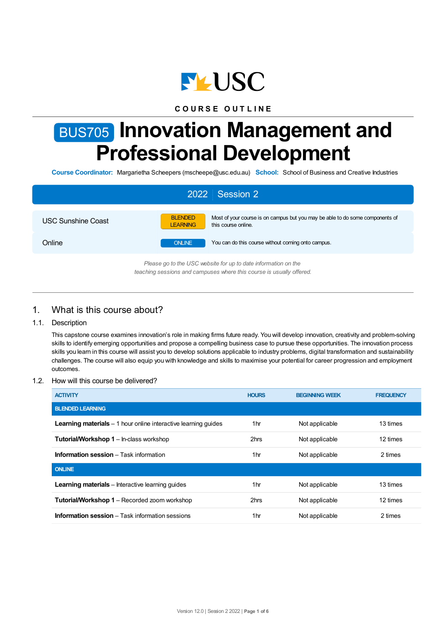

# **C O U R S E O U T L I N E**

# BUS705 **Innovation Management and Professional Development**

**Course Coordinator:** Margarietha Scheepers (mscheepe@usc.edu.au) **School:** School of Business and Creative Industries

| 2022 Session 2                                                                                                                         |                                                                                                                                           |  |  |  |  |
|----------------------------------------------------------------------------------------------------------------------------------------|-------------------------------------------------------------------------------------------------------------------------------------------|--|--|--|--|
| USC Sunshine Coast                                                                                                                     | <b>BLENDED</b><br>Most of your course is on campus but you may be able to do some components of<br>this course online.<br><b>LEARNING</b> |  |  |  |  |
| Online                                                                                                                                 | You can do this course without coming onto campus.<br><b>ONLINE</b>                                                                       |  |  |  |  |
| Please go to the USC website for up to date information on the<br>teaching sessions and campuses where this course is usually offered. |                                                                                                                                           |  |  |  |  |

# 1. What is this course about?

#### 1.1. Description

This capstone course examines innovation's role in making firms future ready. You will develop innovation, creativity and problem-solving skills to identify emerging opportunities and propose a compelling business case to pursue these opportunities. The innovation process skills you learn in this course will assist you to develop solutions applicable to industry problems, digital transformation and sustainability challenges. The course will also equip you with knowledge and skills to maximise your potential for career progression and employment outcomes.

#### 1.2. How will this course be delivered?

| <b>ACTIVITY</b>                                                        | <b>HOURS</b>    | <b>BEGINNING WEEK</b> | <b>FREQUENCY</b> |
|------------------------------------------------------------------------|-----------------|-----------------------|------------------|
| <b>BLENDED LEARNING</b>                                                |                 |                       |                  |
| <b>Learning materials</b> $-1$ hour online interactive learning guides | 1 <sub>hr</sub> | Not applicable        | 13 times         |
| <b>Tutorial/Workshop 1 – In-class workshop</b>                         | 2hrs            | Not applicable        | 12 times         |
| <b>Information session</b> – Task information                          | 1 <sub>hr</sub> | Not applicable        | 2 times          |
| <b>ONLINE</b>                                                          |                 |                       |                  |
| <b>Learning materials</b> – Interactive learning quides                | 1 <sub>hr</sub> | Not applicable        | 13 times         |
| <b>Tutorial/Workshop 1</b> – Recorded zoom workshop                    | 2hrs            | Not applicable        | 12 times         |
| <b>Information session</b> $-$ Task information sessions               | 1 <sub>hr</sub> | Not applicable        | 2 times          |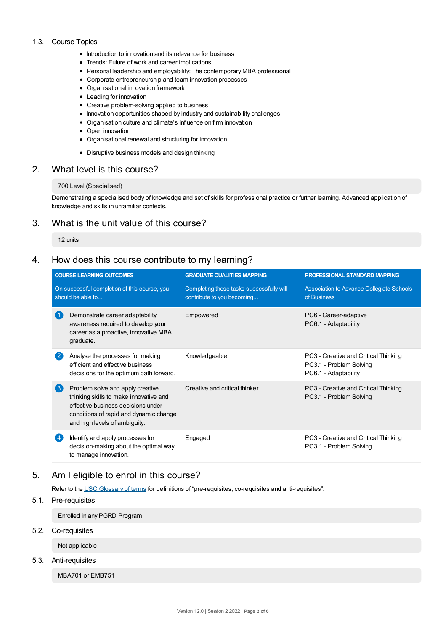#### 1.3. Course Topics

- Introduction to innovation and its relevance for business
- Trends: Future of work and career implications
- Personal leadership and employability: The contemporary MBA professional
- Corporate entrepreneurship and team innovation processes
- Organisational innovation framework
- Leading for innovation
- Creative problem-solving applied to business
- Innovation opportunities shaped by industry and sustainability challenges
- Organisation culture and climate's influence on firm innovation
- Open innovation
- Organisational renewal and structuring for innovation
- Disruptive business models and design thinking

## 2. What level is this course?

#### 700 Level (Specialised)

Demonstrating a specialised body of knowledge and set of skills for professional practice or further learning. Advanced application of knowledge and skills in unfamiliar contexts.

# 3. What is the unit value of this course?

#### 12 units

## 4. How does this course contribute to my learning?

| <b>COURSE LEARNING OUTCOMES</b> |                                                                                                                                                                                                                  | <b>GRADUATE QUALITIES MAPPING</b>                                      | PROFESSIONAL STANDARD MAPPING                                                           |  |
|---------------------------------|------------------------------------------------------------------------------------------------------------------------------------------------------------------------------------------------------------------|------------------------------------------------------------------------|-----------------------------------------------------------------------------------------|--|
|                                 | On successful completion of this course, you<br>should be able to                                                                                                                                                | Completing these tasks successfully will<br>contribute to you becoming | Association to Advance Collegiate Schools<br>of Business                                |  |
|                                 | Demonstrate career adaptability<br>awareness required to develop your<br>career as a proactive, innovative MBA<br>graduate.                                                                                      | Empowered                                                              | PC6 - Career-adaptive<br>PC6.1 - Adaptability                                           |  |
|                                 | Analyse the processes for making<br>efficient and effective business<br>decisions for the optimum path forward.                                                                                                  | Knowledgeable                                                          | PC3 - Creative and Critical Thinking<br>PC3.1 - Problem Solving<br>PC6.1 - Adaptability |  |
|                                 | $\left( 3\right)$<br>Problem solve and apply creative<br>thinking skills to make innovative and<br>effective business decisions under<br>conditions of rapid and dynamic change<br>and high levels of ambiguity. | Creative and critical thinker                                          | PC3 - Creative and Critical Thinking<br>PC3.1 - Problem Solving                         |  |
|                                 | Identify and apply processes for<br>decision-making about the optimal way<br>to manage innovation.                                                                                                               | Engaged                                                                | PC3 - Creative and Critical Thinking<br>PC3.1 - Problem Solving                         |  |

# 5. Am Ieligible to enrol in this course?

Refer to the USC [Glossary](https://www.usc.edu.au/about/policies-and-procedures/glossary-of-terms-for-policy-and-procedures) of terms for definitions of "pre-requisites, co-requisites and anti-requisites".

#### 5.1. Pre-requisites

Enrolled in any PGRD Program

### 5.2. Co-requisites

Not applicable

#### 5.3. Anti-requisites

MBA701 or EMB751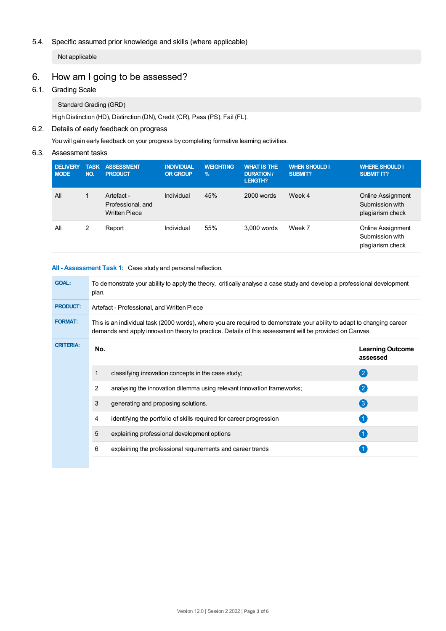## 5.4. Specific assumed prior knowledge and skills (where applicable)

Not applicable

# 6. How am Igoing to be assessed?

## 6.1. Grading Scale

Standard Grading (GRD)

High Distinction (HD), Distinction (DN), Credit (CR), Pass (PS), Fail (FL).

## 6.2. Details of early feedback on progress

You will gain early feedback on your progress by completing formative learning activities.

# 6.3. Assessment tasks

| <b>DELIVERY</b><br><b>MODE</b> | <b>TASK</b><br>NO. | <b>ASSESSMENT</b><br><b>PRODUCT</b>                     | <b>INDIVIDUAL</b><br><b>OR GROUP</b> | <b>WEIGHTING</b><br>$\%$ | <b>WHAT IS THE</b><br><b>DURATION /</b><br>LENGTH? | <b>WHEN SHOULD I</b><br><b>SUBMIT?</b> | <b>WHERE SHOULD I</b><br><b>SUBMIT IT?</b>               |
|--------------------------------|--------------------|---------------------------------------------------------|--------------------------------------|--------------------------|----------------------------------------------------|----------------------------------------|----------------------------------------------------------|
| All                            |                    | Artefact -<br>Professional, and<br><b>Written Piece</b> | Individual                           | 45%                      | 2000 words                                         | Week 4                                 | Online Assignment<br>Submission with<br>plagiarism check |
| All                            | 2                  | Report                                                  | Individual                           | 55%                      | 3.000 words                                        | Week 7                                 | Online Assignment<br>Submission with<br>plagiarism check |

## **All - Assessment Task 1:** Case study and personal reflection.

| <b>GOAL:</b>     | To demonstrate your ability to apply the theory, critically analyse a case study and develop a professional development<br>plan.                                                                                                   |                                                                        |                                     |  |  |  |  |
|------------------|------------------------------------------------------------------------------------------------------------------------------------------------------------------------------------------------------------------------------------|------------------------------------------------------------------------|-------------------------------------|--|--|--|--|
| <b>PRODUCT:</b>  | Artefact - Professional, and Written Piece                                                                                                                                                                                         |                                                                        |                                     |  |  |  |  |
| <b>FORMAT:</b>   | This is an individual task (2000 words), where you are required to demonstrate your ability to adapt to changing career<br>demands and apply innovation theory to practice. Details of this assessment will be provided on Canvas. |                                                                        |                                     |  |  |  |  |
| <b>CRITERIA:</b> | No.                                                                                                                                                                                                                                |                                                                        | <b>Learning Outcome</b><br>assessed |  |  |  |  |
|                  | 1                                                                                                                                                                                                                                  | classifying innovation concepts in the case study;                     | $\left( 2\right)$                   |  |  |  |  |
|                  | 2                                                                                                                                                                                                                                  | analysing the innovation dilemma using relevant innovation frameworks; | $\left( 2\right)$                   |  |  |  |  |
|                  | 3                                                                                                                                                                                                                                  | generating and proposing solutions.                                    | $\left( 3 \right)$                  |  |  |  |  |
|                  | 4                                                                                                                                                                                                                                  | identifying the portfolio of skills required for career progression    |                                     |  |  |  |  |
|                  | 5                                                                                                                                                                                                                                  | explaining professional development options                            |                                     |  |  |  |  |
|                  | 6                                                                                                                                                                                                                                  | explaining the professional requirements and career trends             |                                     |  |  |  |  |
|                  |                                                                                                                                                                                                                                    |                                                                        |                                     |  |  |  |  |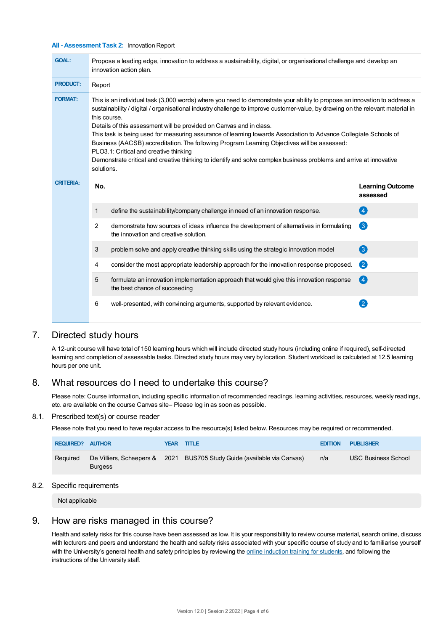#### **All - Assessment Task 2:** Innovation Report

| <b>GOAL:</b>     | Propose a leading edge, innovation to address a sustainability, digital, or organisational challenge and develop an<br>innovation action plan.                                                                                                                                                                                                                                                                                                                                                                                                                                                                                                                                                                                                       |                                     |  |  |  |  |
|------------------|------------------------------------------------------------------------------------------------------------------------------------------------------------------------------------------------------------------------------------------------------------------------------------------------------------------------------------------------------------------------------------------------------------------------------------------------------------------------------------------------------------------------------------------------------------------------------------------------------------------------------------------------------------------------------------------------------------------------------------------------------|-------------------------------------|--|--|--|--|
| <b>PRODUCT:</b>  | Report                                                                                                                                                                                                                                                                                                                                                                                                                                                                                                                                                                                                                                                                                                                                               |                                     |  |  |  |  |
| <b>FORMAT:</b>   | This is an individual task (3,000 words) where you need to demonstrate your ability to propose an innovation to address a<br>sustainability / digital / organisational industry challenge to improve customer-value, by drawing on the relevant material in<br>this course.<br>Details of this assessment will be provided on Canvas and in class.<br>This task is being used for measuring assurance of learning towards Association to Advance Collegiate Schools of<br>Business (AACSB) accreditation. The following Program Learning Objectives will be assessed:<br>PLO3.1: Critical and creative thinking<br>Demonstrate critical and creative thinking to identify and solve complex business problems and arrive at innovative<br>solutions. |                                     |  |  |  |  |
| <b>CRITERIA:</b> | No.                                                                                                                                                                                                                                                                                                                                                                                                                                                                                                                                                                                                                                                                                                                                                  | <b>Learning Outcome</b><br>assessed |  |  |  |  |
|                  | define the sustainability/company challenge in need of an innovation response.<br>1                                                                                                                                                                                                                                                                                                                                                                                                                                                                                                                                                                                                                                                                  |                                     |  |  |  |  |
|                  |                                                                                                                                                                                                                                                                                                                                                                                                                                                                                                                                                                                                                                                                                                                                                      | 4                                   |  |  |  |  |
|                  | 2<br>demonstrate how sources of ideas influence the development of alternatives in formulating<br>the innovation and creative solution.                                                                                                                                                                                                                                                                                                                                                                                                                                                                                                                                                                                                              | 3                                   |  |  |  |  |
|                  | problem solve and apply creative thinking skills using the strategic innovation model<br>3                                                                                                                                                                                                                                                                                                                                                                                                                                                                                                                                                                                                                                                           | 3                                   |  |  |  |  |
|                  | consider the most appropriate leadership approach for the innovation response proposed.<br>4                                                                                                                                                                                                                                                                                                                                                                                                                                                                                                                                                                                                                                                         | 2                                   |  |  |  |  |
|                  | 5<br>formulate an innovation implementation approach that would give this innovation response<br>the best chance of succeeding                                                                                                                                                                                                                                                                                                                                                                                                                                                                                                                                                                                                                       | $\left[ 4\right]$                   |  |  |  |  |
|                  | well-presented, with convincing arguments, supported by relevant evidence.<br>6                                                                                                                                                                                                                                                                                                                                                                                                                                                                                                                                                                                                                                                                      | $\left[ 2\right]$                   |  |  |  |  |

# 7. Directed study hours

A 12-unit course will have total of 150 learning hours which will include directed study hours (including online if required), self-directed learning and completion of assessable tasks. Directed study hours may vary by location. Student workload is calculated at 12.5 learning hours per one unit.

# 8. What resources do I need to undertake this course?

Please note: Course information, including specific information of recommended readings, learning activities, resources, weekly readings, etc. are available on the course Canvas site– Please log in as soon as possible.

#### 8.1. Prescribed text(s) or course reader

Please note that you need to have regular access to the resource(s) listed below. Resources may be required or recommended.

| <b>REQUIRED? AUTHOR</b> |                | YEAR TITLE                                                              | <b>EDITION</b> | <b>PUBLISHER</b>           |
|-------------------------|----------------|-------------------------------------------------------------------------|----------------|----------------------------|
| Required                | <b>Burgess</b> | De Villiers, Scheepers & 2021 BUS705 Study Guide (available via Canvas) | n/a            | <b>USC Business School</b> |

#### 8.2. Specific requirements

Not applicable

# 9. How are risks managed in this course?

Health and safety risks for this course have been assessed as low. It is your responsibility to review course material, search online, discuss with lecturers and peers and understand the health and safety risks associated with your specific course of study and to familiarise yourself with the University's general health and safety principles by reviewing the online [induction](https://online.usc.edu.au/webapps/blackboard/content/listContentEditable.jsp?content_id=_632657_1&course_id=_14432_1) training for students, and following the instructions of the University staff.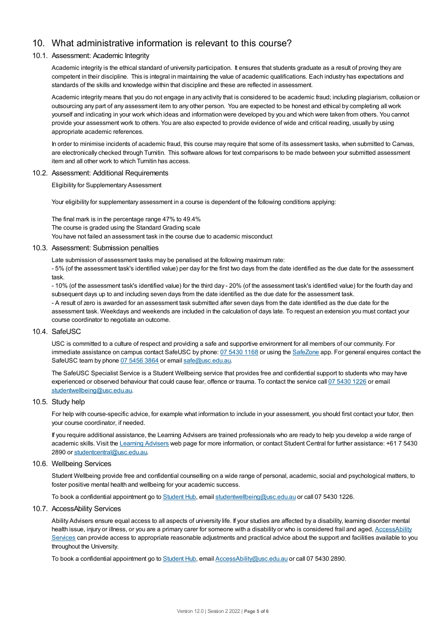# 10. What administrative information is relevant to this course?

#### 10.1. Assessment: Academic Integrity

Academic integrity is the ethical standard of university participation. It ensures that students graduate as a result of proving they are competent in their discipline. This is integral in maintaining the value of academic qualifications. Each industry has expectations and standards of the skills and knowledge within that discipline and these are reflected in assessment.

Academic integrity means that you do not engage in any activity that is considered to be academic fraud; including plagiarism, collusion or outsourcing any part of any assessment item to any other person. You are expected to be honest and ethical by completing all work yourself and indicating in your work which ideas and information were developed by you and which were taken from others. You cannot provide your assessment work to others.You are also expected to provide evidence of wide and critical reading, usually by using appropriate academic references.

In order to minimise incidents of academic fraud, this course may require that some of its assessment tasks, when submitted to Canvas, are electronically checked through Turnitin. This software allows for text comparisons to be made between your submitted assessment item and all other work to which Turnitin has access.

#### 10.2. Assessment: Additional Requirements

Eligibility for Supplementary Assessment

Your eligibility for supplementary assessment in a course is dependent of the following conditions applying:

The final mark is in the percentage range 47% to 49.4% The course is graded using the Standard Grading scale You have not failed an assessment task in the course due to academic misconduct

#### 10.3. Assessment: Submission penalties

Late submission of assessment tasks may be penalised at the following maximum rate:

- 5% (of the assessment task's identified value) per day for the first two days from the date identified as the due date for the assessment task.

- 10% (of the assessment task's identified value) for the third day - 20% (of the assessment task's identified value) for the fourth day and subsequent days up to and including seven days from the date identified as the due date for the assessment task. - A result of zero is awarded for an assessment task submitted after seven days from the date identified as the due date for the assessment task. Weekdays and weekends are included in the calculation of days late. To request an extension you must contact your course coordinator to negotiate an outcome.

#### 10.4. SafeUSC

USC is committed to a culture of respect and providing a safe and supportive environment for all members of our community. For immediate assistance on campus contact SafeUSC by phone: 07 [5430](tel:07%205430%201168) 1168 or using the [SafeZone](https://www.safezoneapp.com) app. For general enquires contact the SafeUSC team by phone 07 [5456](tel:07%205456%203864) 3864 or email [safe@usc.edu.au](mailto:safe@usc.edu.au).

The SafeUSC Specialist Service is a Student Wellbeing service that provides free and confidential support to students who may have experienced or observed behaviour that could cause fear, offence or trauma. To contact the service call 07 [5430](tel:07%205430%201226) 1226 or email [studentwellbeing@usc.edu.au](mailto:studentwellbeing@usc.edu.au).

#### 10.5. Study help

For help with course-specific advice, for example what information to include in your assessment, you should first contact your tutor, then your course coordinator, if needed.

If you require additional assistance, the Learning Advisers are trained professionals who are ready to help you develop a wide range of academic skills. Visit the Learning [Advisers](https://www.usc.edu.au/current-students/student-support/academic-and-study-support/learning-advisers) web page for more information, or contact Student Central for further assistance: +61 7 5430 2890 or [studentcentral@usc.edu.au](mailto:studentcentral@usc.edu.au).

#### 10.6. Wellbeing Services

Student Wellbeing provide free and confidential counselling on a wide range of personal, academic, social and psychological matters, to foster positive mental health and wellbeing for your academic success.

To book a confidential appointment go to [Student](https://studenthub.usc.edu.au/) Hub, email [studentwellbeing@usc.edu.au](mailto:studentwellbeing@usc.edu.au) or call 07 5430 1226.

#### 10.7. AccessAbility Services

Ability Advisers ensure equal access to all aspects of university life. If your studies are affected by a disability, learning disorder mental health issue, injury or illness, or you are a primary carer for someone with a disability or who is considered frail and aged, [AccessAbility](https://www.usc.edu.au/learn/student-support/accessability-services/documentation-requirements) Services can provide access to appropriate reasonable adjustments and practical advice about the support and facilities available to you throughout the University.

To book a confidential appointment go to [Student](https://studenthub.usc.edu.au/) Hub, email [AccessAbility@usc.edu.au](mailto:AccessAbility@usc.edu.au) or call 07 5430 2890.